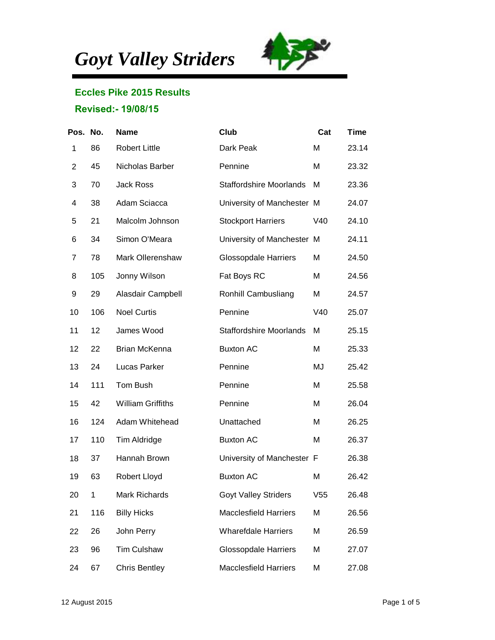*Goyt Valley Striders*



## **Eccles Pike 2015 Results**

## **Revised:- 19/08/15**

| Pos. No.       |             | <b>Name</b>              | <b>Club</b>                    | Cat | <b>Time</b> |
|----------------|-------------|--------------------------|--------------------------------|-----|-------------|
| 1              | 86          | <b>Robert Little</b>     | Dark Peak                      | M   | 23.14       |
| $\overline{2}$ | 45          | Nicholas Barber          | Pennine                        | M   | 23.32       |
| 3              | 70          | <b>Jack Ross</b>         | <b>Staffordshire Moorlands</b> | M   | 23.36       |
| 4              | 38          | Adam Sciacca             | University of Manchester M     |     | 24.07       |
| 5              | 21          | Malcolm Johnson          | <b>Stockport Harriers</b>      | V40 | 24.10       |
| 6              | 34          | Simon O'Meara            | University of Manchester M     |     | 24.11       |
| 7              | 78          | Mark Ollerenshaw         | <b>Glossopdale Harriers</b>    | M   | 24.50       |
| 8              | 105         | Jonny Wilson             | Fat Boys RC                    | M   | 24.56       |
| 9              | 29          | Alasdair Campbell        | Ronhill Cambusliang            | M   | 24.57       |
| 10             | 106         | <b>Noel Curtis</b>       | Pennine                        | V40 | 25.07       |
| 11             | 12          | James Wood               | <b>Staffordshire Moorlands</b> | M   | 25.15       |
| 12             | 22          | Brian McKenna            | <b>Buxton AC</b>               | M   | 25.33       |
| 13             | 24          | Lucas Parker             | Pennine                        | MJ  | 25.42       |
| 14             | 111         | Tom Bush                 | Pennine                        | M   | 25.58       |
| 15             | 42          | <b>William Griffiths</b> | Pennine                        | M   | 26.04       |
| 16             | 124         | Adam Whitehead           | Unattached                     | M   | 26.25       |
| 17             | 110         | Tim Aldridge             | <b>Buxton AC</b>               | M   | 26.37       |
| 18             | 37          | Hannah Brown             | University of Manchester F     |     | 26.38       |
| 19             | 63          | Robert Lloyd             | <b>Buxton AC</b>               | M   | 26.42       |
| 20             | $\mathbf 1$ | Mark Richards            | <b>Goyt Valley Striders</b>    | V55 | 26.48       |
| 21             | 116         | <b>Billy Hicks</b>       | <b>Macclesfield Harriers</b>   | M   | 26.56       |
| 22             | 26          | John Perry               | <b>Wharefdale Harriers</b>     | M   | 26.59       |
| 23             | 96          | <b>Tim Culshaw</b>       | <b>Glossopdale Harriers</b>    | M   | 27.07       |
| 24             | 67          | <b>Chris Bentley</b>     | <b>Macclesfield Harriers</b>   | M   | 27.08       |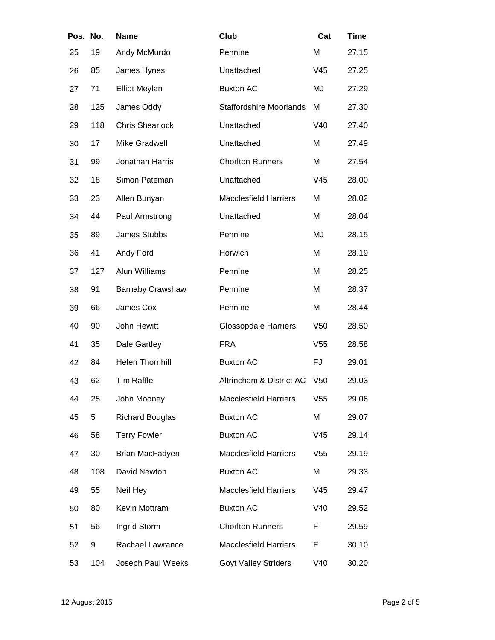| Pos. No. |     | <b>Name</b>            | Club                           | Cat             | <b>Time</b> |
|----------|-----|------------------------|--------------------------------|-----------------|-------------|
| 25       | 19  | Andy McMurdo           | Pennine                        | M               | 27.15       |
| 26       | 85  | James Hynes            | Unattached                     | V45             | 27.25       |
| 27       | 71  | <b>Elliot Meylan</b>   | <b>Buxton AC</b>               | MJ              | 27.29       |
| 28       | 125 | James Oddy             | <b>Staffordshire Moorlands</b> | M               | 27.30       |
| 29       | 118 | <b>Chris Shearlock</b> | Unattached                     | V40             | 27.40       |
| 30       | 17  | <b>Mike Gradwell</b>   | Unattached                     | M               | 27.49       |
| 31       | 99  | Jonathan Harris        | <b>Chorlton Runners</b>        | Μ               | 27.54       |
| 32       | 18  | Simon Pateman          | Unattached                     | V45             | 28.00       |
| 33       | 23  | Allen Bunyan           | <b>Macclesfield Harriers</b>   | M               | 28.02       |
| 34       | 44  | Paul Armstrong         | Unattached                     | M               | 28.04       |
| 35       | 89  | James Stubbs           | Pennine                        | MJ              | 28.15       |
| 36       | 41  | Andy Ford              | Horwich                        | M               | 28.19       |
| 37       | 127 | Alun Williams          | Pennine                        | M               | 28.25       |
| 38       | 91  | Barnaby Crawshaw       | Pennine                        | M               | 28.37       |
| 39       | 66  | James Cox              | Pennine                        | M               | 28.44       |
| 40       | 90  | John Hewitt            | <b>Glossopdale Harriers</b>    | V50             | 28.50       |
| 41       | 35  | Dale Gartley           | <b>FRA</b>                     | V55             | 28.58       |
| 42       | 84  | <b>Helen Thornhill</b> | <b>Buxton AC</b>               | FJ              | 29.01       |
| 43       | 62  | <b>Tim Raffle</b>      | Altrincham & District AC       | V <sub>50</sub> | 29.03       |
| 44       | 25  | John Mooney            | <b>Macclesfield Harriers</b>   | V55             | 29.06       |
| 45       | 5   | <b>Richard Bouglas</b> | <b>Buxton AC</b>               | M               | 29.07       |
| 46       | 58  | <b>Terry Fowler</b>    | <b>Buxton AC</b>               | V45             | 29.14       |
| 47       | 30  | Brian MacFadyen        | <b>Macclesfield Harriers</b>   | V <sub>55</sub> | 29.19       |
| 48       | 108 | David Newton           | <b>Buxton AC</b>               | M               | 29.33       |
| 49       | 55  | Neil Hey               | <b>Macclesfield Harriers</b>   | V45             | 29.47       |
| 50       | 80  | Kevin Mottram          | <b>Buxton AC</b>               | V40             | 29.52       |
| 51       | 56  | Ingrid Storm           | <b>Chorlton Runners</b>        | F               | 29.59       |
| 52       | 9   | Rachael Lawrance       | <b>Macclesfield Harriers</b>   | F               | 30.10       |
| 53       | 104 | Joseph Paul Weeks      | <b>Goyt Valley Striders</b>    | V40             | 30.20       |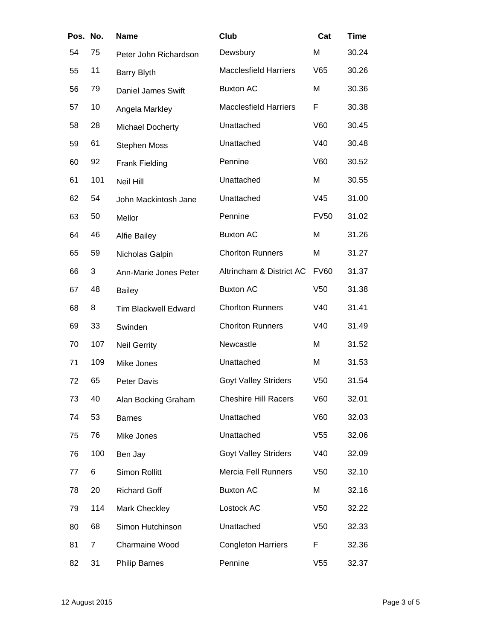| Pos. No. |     | <b>Name</b>                 | Club                         | Cat             | <b>Time</b> |
|----------|-----|-----------------------------|------------------------------|-----------------|-------------|
| 54       | 75  | Peter John Richardson       | Dewsbury                     | Μ               | 30.24       |
| 55       | 11  | <b>Barry Blyth</b>          | <b>Macclesfield Harriers</b> | V65             | 30.26       |
| 56       | 79  | Daniel James Swift          | <b>Buxton AC</b>             | M               | 30.36       |
| 57       | 10  | Angela Markley              | <b>Macclesfield Harriers</b> | F               | 30.38       |
| 58       | 28  | <b>Michael Docherty</b>     | Unattached                   | V60             | 30.45       |
| 59       | 61  | <b>Stephen Moss</b>         | Unattached                   | V40             | 30.48       |
| 60       | 92  | <b>Frank Fielding</b>       | Pennine                      | V60             | 30.52       |
| 61       | 101 | Neil Hill                   | Unattached                   | Μ               | 30.55       |
| 62       | 54  | John Mackintosh Jane        | Unattached                   | V45             | 31.00       |
| 63       | 50  | Mellor                      | Pennine                      | <b>FV50</b>     | 31.02       |
| 64       | 46  | <b>Alfie Bailey</b>         | <b>Buxton AC</b>             | M               | 31.26       |
| 65       | 59  | Nicholas Galpin             | <b>Chorlton Runners</b>      | Μ               | 31.27       |
| 66       | 3   | Ann-Marie Jones Peter       | Altrincham & District AC     | <b>FV60</b>     | 31.37       |
| 67       | 48  | <b>Bailey</b>               | <b>Buxton AC</b>             | V <sub>50</sub> | 31.38       |
| 68       | 8   | <b>Tim Blackwell Edward</b> | <b>Chorlton Runners</b>      | V40             | 31.41       |
| 69       | 33  | Swinden                     | <b>Chorlton Runners</b>      | V40             | 31.49       |
| 70       | 107 | <b>Neil Gerrity</b>         | Newcastle                    | M               | 31.52       |
| 71       | 109 | Mike Jones                  | Unattached                   | Μ               | 31.53       |
| 72       | 65  | Peter Davis                 | <b>Goyt Valley Striders</b>  | V <sub>50</sub> | 31.54       |
| 73       | 40  | Alan Bocking Graham         | <b>Cheshire Hill Racers</b>  | V60             | 32.01       |
| 74       | 53  | <b>Barnes</b>               | Unattached                   | V60             | 32.03       |
| 75       | 76  | Mike Jones                  | Unattached                   | V <sub>55</sub> | 32.06       |
| 76       | 100 | Ben Jay                     | <b>Goyt Valley Striders</b>  | V40             | 32.09       |
| 77       | 6   | Simon Rollitt               | <b>Mercia Fell Runners</b>   | V50             | 32.10       |
| 78       | 20  | <b>Richard Goff</b>         | <b>Buxton AC</b>             | Μ               | 32.16       |
| 79       | 114 | Mark Checkley               | Lostock AC                   | V <sub>50</sub> | 32.22       |
| 80       | 68  | Simon Hutchinson            | Unattached                   | V <sub>50</sub> | 32.33       |
| 81       | 7   | Charmaine Wood              | <b>Congleton Harriers</b>    | F               | 32.36       |
| 82       | 31  | <b>Philip Barnes</b>        | Pennine                      | V55             | 32.37       |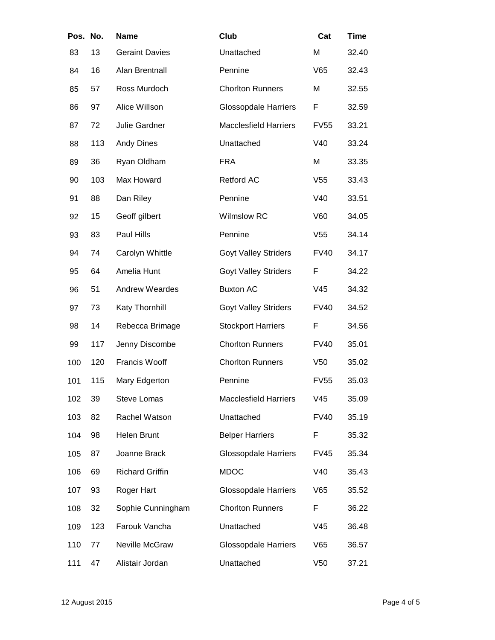| Pos. No. |     | <b>Name</b>            | Club                         | Cat             | <b>Time</b> |
|----------|-----|------------------------|------------------------------|-----------------|-------------|
| 83       | 13  | <b>Geraint Davies</b>  | Unattached                   | M               | 32.40       |
| 84       | 16  | Alan Brentnall         | Pennine                      | V65             | 32.43       |
| 85       | 57  | Ross Murdoch           | <b>Chorlton Runners</b>      | M               | 32.55       |
| 86       | 97  | Alice Willson          | <b>Glossopdale Harriers</b>  | F               | 32.59       |
| 87       | 72  | Julie Gardner          | <b>Macclesfield Harriers</b> | <b>FV55</b>     | 33.21       |
| 88       | 113 | <b>Andy Dines</b>      | Unattached                   | V40             | 33.24       |
| 89       | 36  | Ryan Oldham            | <b>FRA</b>                   | M               | 33.35       |
| 90       | 103 | Max Howard             | <b>Retford AC</b>            | V <sub>55</sub> | 33.43       |
| 91       | 88  | Dan Riley              | Pennine                      | V40             | 33.51       |
| 92       | 15  | Geoff gilbert          | Wilmslow RC                  | V60             | 34.05       |
| 93       | 83  | Paul Hills             | Pennine                      | V <sub>55</sub> | 34.14       |
| 94       | 74  | Carolyn Whittle        | <b>Goyt Valley Striders</b>  | <b>FV40</b>     | 34.17       |
| 95       | 64  | Amelia Hunt            | <b>Goyt Valley Striders</b>  | F               | 34.22       |
| 96       | 51  | <b>Andrew Weardes</b>  | <b>Buxton AC</b>             | V45             | 34.32       |
| 97       | 73  | Katy Thornhill         | <b>Goyt Valley Striders</b>  | <b>FV40</b>     | 34.52       |
| 98       | 14  | Rebecca Brimage        | <b>Stockport Harriers</b>    | F               | 34.56       |
| 99       | 117 | Jenny Discombe         | <b>Chorlton Runners</b>      | <b>FV40</b>     | 35.01       |
| 100      | 120 | Francis Wooff          | <b>Chorlton Runners</b>      | V <sub>50</sub> | 35.02       |
| 101      | 115 | Mary Edgerton          | Pennine                      | <b>FV55</b>     | 35.03       |
| 102      | 39  | <b>Steve Lomas</b>     | <b>Macclesfield Harriers</b> | V45             | 35.09       |
| 103      | 82  | Rachel Watson          | Unattached                   | <b>FV40</b>     | 35.19       |
| 104      | 98  | Helen Brunt            | <b>Belper Harriers</b>       | F               | 35.32       |
| 105      | 87  | Joanne Brack           | <b>Glossopdale Harriers</b>  | <b>FV45</b>     | 35.34       |
| 106      | 69  | <b>Richard Griffin</b> | <b>MDOC</b>                  | V40             | 35.43       |
| 107      | 93  | Roger Hart             | <b>Glossopdale Harriers</b>  | V65             | 35.52       |
| 108      | 32  | Sophie Cunningham      | <b>Chorlton Runners</b>      | F               | 36.22       |
| 109      | 123 | Farouk Vancha          | Unattached                   | V45             | 36.48       |
| 110      | 77  | Neville McGraw         | <b>Glossopdale Harriers</b>  | V65             | 36.57       |
| 111      | 47  | Alistair Jordan        | Unattached                   | V <sub>50</sub> | 37.21       |